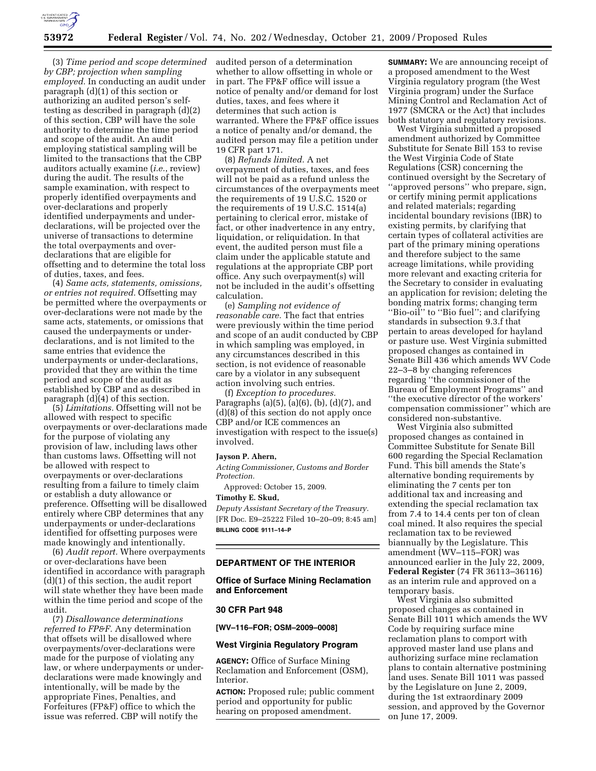

(3) *Time period and scope determined by CBP; projection when sampling employed.* In conducting an audit under paragraph (d)(1) of this section or authorizing an audited person's selftesting as described in paragraph (d)(2) of this section, CBP will have the sole authority to determine the time period and scope of the audit. An audit employing statistical sampling will be limited to the transactions that the CBP auditors actually examine (*i.e.*, review) during the audit. The results of the sample examination, with respect to properly identified overpayments and over-declarations and properly identified underpayments and underdeclarations, will be projected over the universe of transactions to determine the total overpayments and overdeclarations that are eligible for offsetting and to determine the total loss of duties, taxes, and fees.

(4) *Same acts, statements, omissions, or entries not required.* Offsetting may be permitted where the overpayments or over-declarations were not made by the same acts, statements, or omissions that caused the underpayments or underdeclarations, and is not limited to the same entries that evidence the underpayments or under-declarations, provided that they are within the time period and scope of the audit as established by CBP and as described in paragraph (d)(4) of this section.

(5) *Limitations.* Offsetting will not be allowed with respect to specific overpayments or over-declarations made for the purpose of violating any provision of law, including laws other than customs laws. Offsetting will not be allowed with respect to overpayments or over-declarations resulting from a failure to timely claim or establish a duty allowance or preference. Offsetting will be disallowed entirely where CBP determines that any underpayments or under-declarations identified for offsetting purposes were made knowingly and intentionally.

(6) *Audit report.* Where overpayments or over-declarations have been identified in accordance with paragraph (d)(1) of this section, the audit report will state whether they have been made within the time period and scope of the audit.

(7) *Disallowance determinations referred to FP&F.* Any determination that offsets will be disallowed where overpayments/over-declarations were made for the purpose of violating any law, or where underpayments or underdeclarations were made knowingly and intentionally, will be made by the appropriate Fines, Penalties, and Forfeitures (FP&F) office to which the issue was referred. CBP will notify the

audited person of a determination whether to allow offsetting in whole or in part. The FP&F office will issue a notice of penalty and/or demand for lost duties, taxes, and fees where it determines that such action is warranted. Where the FP&F office issues a notice of penalty and/or demand, the audited person may file a petition under 19 CFR part 171.

(8) *Refunds limited.* A net overpayment of duties, taxes, and fees will not be paid as a refund unless the circumstances of the overpayments meet the requirements of 19 U.S.C. 1520 or the requirements of 19 U.S.C. 1514(a) pertaining to clerical error, mistake of fact, or other inadvertence in any entry, liquidation, or reliquidation. In that event, the audited person must file a claim under the applicable statute and regulations at the appropriate CBP port office. Any such overpayment(s) will not be included in the audit's offsetting calculation.

(e) *Sampling not evidence of reasonable care.* The fact that entries were previously within the time period and scope of an audit conducted by CBP in which sampling was employed, in any circumstances described in this section, is not evidence of reasonable care by a violator in any subsequent action involving such entries.

(f) *Exception to procedures.*  Paragraphs (a)(5), (a)(6), (b), (d)(7), and (d)(8) of this section do not apply once CBP and/or ICE commences an investigation with respect to the issue(s) involved.

#### **Jayson P. Ahern,**

*Acting Commissioner, Customs and Border Protection.* 

Approved: October 15, 2009. **Timothy E. Skud,** 

*Deputy Assistant Secretary of the Treasury.*  [FR Doc. E9–25222 Filed 10–20–09; 8:45 am] **BILLING CODE 9111–14–P** 

# **DEPARTMENT OF THE INTERIOR**

## **Office of Surface Mining Reclamation and Enforcement**

# **30 CFR Part 948**

**[WV–116–FOR; OSM–2009–0008]** 

#### **West Virginia Regulatory Program**

**AGENCY:** Office of Surface Mining Reclamation and Enforcement (OSM), Interior.

**ACTION:** Proposed rule; public comment period and opportunity for public hearing on proposed amendment.

**SUMMARY:** We are announcing receipt of a proposed amendment to the West Virginia regulatory program (the West Virginia program) under the Surface Mining Control and Reclamation Act of 1977 (SMCRA or the Act) that includes both statutory and regulatory revisions.

West Virginia submitted a proposed amendment authorized by Committee Substitute for Senate Bill 153 to revise the West Virginia Code of State Regulations (CSR) concerning the continued oversight by the Secretary of ''approved persons'' who prepare, sign, or certify mining permit applications and related materials; regarding incidental boundary revisions (IBR) to existing permits, by clarifying that certain types of collateral activities are part of the primary mining operations and therefore subject to the same acreage limitations, while providing more relevant and exacting criteria for the Secretary to consider in evaluating an application for revision; deleting the bonding matrix forms; changing term ''Bio-oil'' to ''Bio fuel''; and clarifying standards in subsection 9.3.f that pertain to areas developed for hayland or pasture use. West Virginia submitted proposed changes as contained in Senate Bill 436 which amends WV Code 22–3–8 by changing references regarding ''the commissioner of the Bureau of Employment Programs'' and ''the executive director of the workers' compensation commissioner'' which are considered non-substantive.

West Virginia also submitted proposed changes as contained in Committee Substitute for Senate Bill 600 regarding the Special Reclamation Fund. This bill amends the State's alternative bonding requirements by eliminating the 7 cents per ton additional tax and increasing and extending the special reclamation tax from 7.4 to 14.4 cents per ton of clean coal mined. It also requires the special reclamation tax to be reviewed biannually by the Legislature. This amendment (WV–115–FOR) was announced earlier in the July 22, 2009, **Federal Register** (74 FR 36113–36116) as an interim rule and approved on a temporary basis.

West Virginia also submitted proposed changes as contained in Senate Bill 1011 which amends the WV Code by requiring surface mine reclamation plans to comport with approved master land use plans and authorizing surface mine reclamation plans to contain alternative postmining land uses. Senate Bill 1011 was passed by the Legislature on June 2, 2009, during the 1st extraordinary 2009 session, and approved by the Governor on June 17, 2009.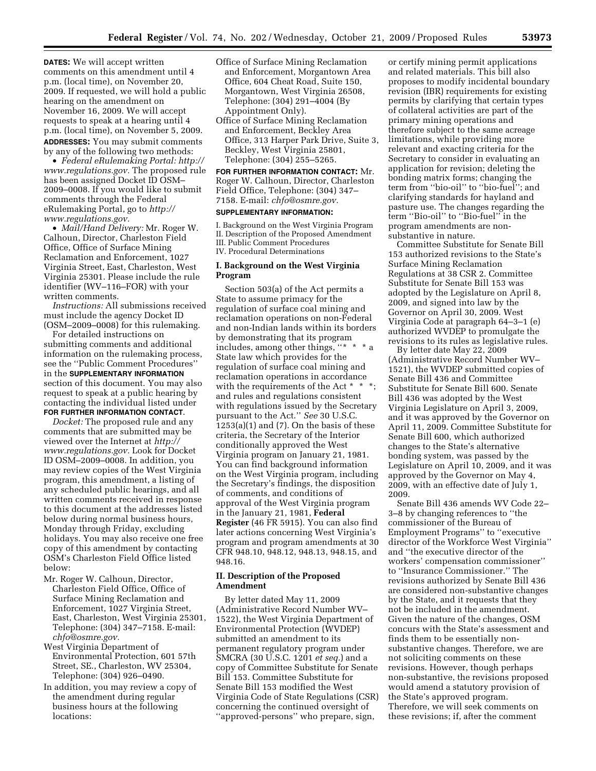**DATES:** We will accept written comments on this amendment until 4 p.m. (local time), on November 20, 2009. If requested, we will hold a public hearing on the amendment on November 16, 2009. We will accept requests to speak at a hearing until 4 p.m. (local time), on November 5, 2009. **ADDRESSES:** You may submit comments by any of the following two methods:

• *Federal eRulemaking Portal: http:// www.regulations.gov.* The proposed rule has been assigned Docket ID OSM– 2009–0008. If you would like to submit comments through the Federal eRulemaking Portal, go to *http:// www.regulations.gov.* 

• *Mail/Hand Delivery:* Mr. Roger W. Calhoun, Director, Charleston Field Office, Office of Surface Mining Reclamation and Enforcement, 1027 Virginia Street, East, Charleston, West Virginia 25301. Please include the rule identifier (WV–116–FOR) with your written comments.

*Instructions:* All submissions received must include the agency Docket ID (OSM–2009–0008) for this rulemaking.

For detailed instructions on submitting comments and additional information on the rulemaking process, see the ''Public Comment Procedures'' in the **SUPPLEMENTARY INFORMATION** section of this document. You may also request to speak at a public hearing by contacting the individual listed under **FOR FURTHER INFORMATION CONTACT**.

*Docket:* The proposed rule and any comments that are submitted may be viewed over the Internet at *http:// www.regulations.gov.* Look for Docket ID OSM–2009–0008. In addition, you may review copies of the West Virginia program, this amendment, a listing of any scheduled public hearings, and all written comments received in response to this document at the addresses listed below during normal business hours, Monday through Friday, excluding holidays. You may also receive one free copy of this amendment by contacting OSM's Charleston Field Office listed below:

- Mr. Roger W. Calhoun, Director, Charleston Field Office, Office of Surface Mining Reclamation and Enforcement, 1027 Virginia Street, East, Charleston, West Virginia 25301, Telephone: (304) 347–7158. E-mail: *chfo@osmre.gov.*
- West Virginia Department of Environmental Protection, 601 57th Street, SE., Charleston, WV 25304, Telephone: (304) 926–0490.
- In addition, you may review a copy of the amendment during regular business hours at the following locations:
- Office of Surface Mining Reclamation and Enforcement, Morgantown Area Office, 604 Cheat Road, Suite 150, Morgantown, West Virginia 26508, Telephone: (304) 291–4004 (By Appointment Only).
- Office of Surface Mining Reclamation and Enforcement, Beckley Area Office, 313 Harper Park Drive, Suite 3, Beckley, West Virginia 25801, Telephone: (304) 255–5265.

**FOR FURTHER INFORMATION CONTACT:** Mr. Roger W. Calhoun, Director, Charleston Field Office, Telephone: (304) 347– 7158. E-mail: *chfo@osmre.gov.* 

# **SUPPLEMENTARY INFORMATION:**

I. Background on the West Virginia Program II. Description of the Proposed Amendment III. Public Comment Procedures IV. Procedural Determinations

## **I. Background on the West Virginia Program**

Section 503(a) of the Act permits a State to assume primacy for the regulation of surface coal mining and reclamation operations on non-Federal and non-Indian lands within its borders by demonstrating that its program includes, among other things, "\* State law which provides for the regulation of surface coal mining and reclamation operations in accordance with the requirements of the Act  $*$   $*$ and rules and regulations consistent with regulations issued by the Secretary pursuant to the Act.'' *See* 30 U.S.C. 1253(a)(1) and (7). On the basis of these criteria, the Secretary of the Interior conditionally approved the West Virginia program on January 21, 1981. You can find background information on the West Virginia program, including the Secretary's findings, the disposition of comments, and conditions of approval of the West Virginia program in the January 21, 1981, **Federal Register** (46 FR 5915). You can also find later actions concerning West Virginia's program and program amendments at 30 CFR 948.10, 948.12, 948.13, 948.15, and 948.16.

# **II. Description of the Proposed Amendment**

By letter dated May 11, 2009 (Administrative Record Number WV– 1522), the West Virginia Department of Environmental Protection (WVDEP) submitted an amendment to its permanent regulatory program under SMCRA (30 U.S.C. 1201 *et seq.*) and a copy of Committee Substitute for Senate Bill 153. Committee Substitute for Senate Bill 153 modified the West Virginia Code of State Regulations (CSR) concerning the continued oversight of ''approved-persons'' who prepare, sign,

or certify mining permit applications and related materials. This bill also proposes to modify incidental boundary revision (IBR) requirements for existing permits by clarifying that certain types of collateral activities are part of the primary mining operations and therefore subject to the same acreage limitations, while providing more relevant and exacting criteria for the Secretary to consider in evaluating an application for revision; deleting the bonding matrix forms; changing the term from ''bio-oil'' to ''bio-fuel''; and clarifying standards for hayland and pasture use. The changes regarding the term ''Bio-oil'' to ''Bio-fuel'' in the program amendments are nonsubstantive in nature.

Committee Substitute for Senate Bill 153 authorized revisions to the State's Surface Mining Reclamation Regulations at 38 CSR 2. Committee Substitute for Senate Bill 153 was adopted by the Legislature on April 8, 2009, and signed into law by the Governor on April 30, 2009. West Virginia Code at paragraph 64–3–1 (e) authorized WVDEP to promulgate the revisions to its rules as legislative rules.

By letter date May 22, 2009 (Administrative Record Number WV– 1521), the WVDEP submitted copies of Senate Bill 436 and Committee Substitute for Senate Bill 600. Senate Bill 436 was adopted by the West Virginia Legislature on April 3, 2009, and it was approved by the Governor on April 11, 2009. Committee Substitute for Senate Bill 600, which authorized changes to the State's alternative bonding system, was passed by the Legislature on April 10, 2009, and it was approved by the Governor on May 4, 2009, with an effective date of July 1, 2009.

Senate Bill 436 amends WV Code 22– 3–8 by changing references to ''the commissioner of the Bureau of Employment Programs'' to ''executive director of the Workforce West Virginia'' and ''the executive director of the workers' compensation commissioner'' to ''Insurance Commissioner.'' The revisions authorized by Senate Bill 436 are considered non-substantive changes by the State, and it requests that they not be included in the amendment. Given the nature of the changes, OSM concurs with the State's assessment and finds them to be essentially nonsubstantive changes. Therefore, we are not soliciting comments on these revisions. However, though perhaps non-substantive, the revisions proposed would amend a statutory provision of the State's approved program. Therefore, we will seek comments on these revisions; if, after the comment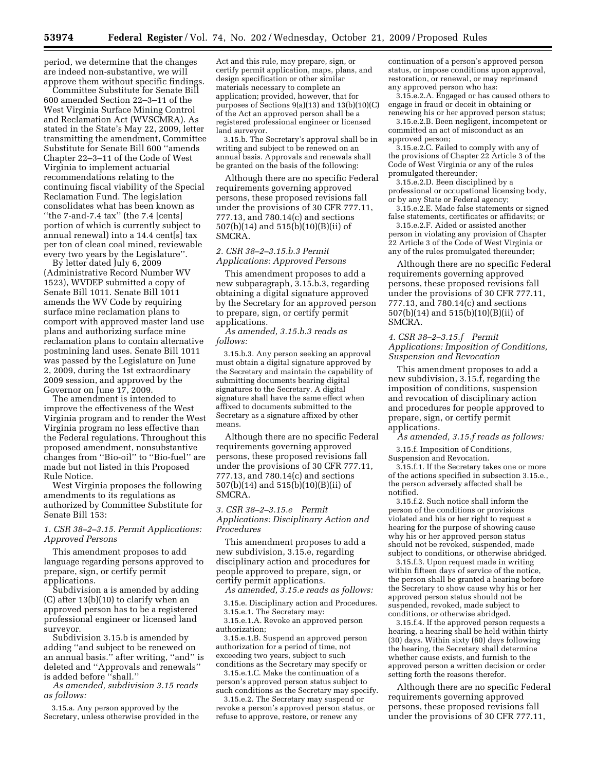period, we determine that the changes are indeed non-substantive, we will approve them without specific findings.

Committee Substitute for Senate Bill 600 amended Section 22–3–11 of the West Virginia Surface Mining Control and Reclamation Act (WVSCMRA). As stated in the State's May 22, 2009, letter transmitting the amendment, Committee Substitute for Senate Bill 600 ''amends Chapter 22–3–11 of the Code of West Virginia to implement actuarial recommendations relating to the continuing fiscal viability of the Special Reclamation Fund. The legislation consolidates what has been known as ''the 7-and-7.4 tax'' (the 7.4 [cents] portion of which is currently subject to annual renewal) into a 14.4 cent[s] tax per ton of clean coal mined, reviewable every two years by the Legislature''.

By letter dated July 6, 2009 (Administrative Record Number WV 1523), WVDEP submitted a copy of Senate Bill 1011. Senate Bill 1011 amends the WV Code by requiring surface mine reclamation plans to comport with approved master land use plans and authorizing surface mine reclamation plans to contain alternative postmining land uses. Senate Bill 1011 was passed by the Legislature on June 2, 2009, during the 1st extraordinary 2009 session, and approved by the Governor on June 17, 2009.

The amendment is intended to improve the effectiveness of the West Virginia program and to render the West Virginia program no less effective than the Federal regulations. Throughout this proposed amendment, nonsubstantive changes from ''Bio-oil'' to ''Bio-fuel'' are made but not listed in this Proposed Rule Notice.

West Virginia proposes the following amendments to its regulations as authorized by Committee Substitute for Senate Bill 153:

# *1. CSR 38–2–3.15. Permit Applications: Approved Persons*

This amendment proposes to add language regarding persons approved to prepare, sign, or certify permit applications.

Subdivision a is amended by adding (C) after 13(b)(10) to clarify when an approved person has to be a registered professional engineer or licensed land surveyor.

Subdivision 3.15.b is amended by adding ''and subject to be renewed on an annual basis.'' after writing, ''and'' is deleted and ''Approvals and renewals'' is added before ''shall.''

*As amended, subdivision 3.15 reads as follows:* 

3.15.a. Any person approved by the Secretary, unless otherwise provided in the

Act and this rule, may prepare, sign, or certify permit application, maps, plans, and design specification or other similar materials necessary to complete an application; provided, however, that for purposes of Sections 9(a)(13) and 13(b)(10)(C) of the Act an approved person shall be a registered professional engineer or licensed land surveyor.

3.15.b. The Secretary's approval shall be in writing and subject to be renewed on an annual basis. Approvals and renewals shall be granted on the basis of the following:

Although there are no specific Federal requirements governing approved persons, these proposed revisions fall under the provisions of 30 CFR 777.11, 777.13, and 780.14(c) and sections 507(b)(14) and 515(b)(10)(B)(ii) of SMCRA.

# *2. CSR 38–2–3.15.b.3 Permit Applications: Approved Persons*

This amendment proposes to add a new subparagraph, 3.15.b.3, regarding obtaining a digital signature approved by the Secretary for an approved person to prepare, sign, or certify permit applications.

*As amended, 3.15.b.3 reads as follows:* 

3.15.b.3. Any person seeking an approval must obtain a digital signature approved by the Secretary and maintain the capability of submitting documents bearing digital signatures to the Secretary. A digital signature shall have the same effect when affixed to documents submitted to the Secretary as a signature affixed by other means.

Although there are no specific Federal requirements governing approved persons, these proposed revisions fall under the provisions of 30 CFR 777.11, 777.13, and 780.14(c) and sections 507(b)(14) and 515(b)(10)(B)(ii) of SMCRA.

*3. CSR 38–2–3.15.e Permit Applications: Disciplinary Action and Procedures* 

This amendment proposes to add a new subdivision, 3.15.e, regarding disciplinary action and procedures for people approved to prepare, sign, or certify permit applications.

*As amended, 3.15.e reads as follows:* 

3.15.e. Disciplinary action and Procedures.

3.15.e.1. The Secretary may:

3.15.e.1.A. Revoke an approved person authorization;

3.15.e.1.B. Suspend an approved person authorization for a period of time, not exceeding two years, subject to such conditions as the Secretary may specify or

3.15.e.1.C. Make the continuation of a person's approved person status subject to such conditions as the Secretary may specify.

3.15.e.2. The Secretary may suspend or revoke a person's approved person status, or refuse to approve, restore, or renew any

continuation of a person's approved person status, or impose conditions upon approval, restoration, or renewal, or may reprimand any approved person who has:

3.15.e.2.A. Engaged or has caused others to engage in fraud or deceit in obtaining or renewing his or her approved person status;

3.15.e.2.B. Been negligent, incompetent or committed an act of misconduct as an approved person;

3.15.e.2.C. Failed to comply with any of the provisions of Chapter 22 Article 3 of the Code of West Virginia or any of the rules promulgated thereunder;

3.15.e.2.D. Been disciplined by a professional or occupational licensing body, or by any State or Federal agency;

3.15.e.2.E. Made false statements or signed false statements, certificates or affidavits; or

3.15.e.2.F. Aided or assisted another person in violating any provision of Chapter 22 Article 3 of the Code of West Virginia or any of the rules promulgated thereunder;

Although there are no specific Federal requirements governing approved persons, these proposed revisions fall under the provisions of 30 CFR 777.11, 777.13, and 780.14(c) and sections 507(b)(14) and 515(b)(10)(B)(ii) of SMCRA.

# *4. CSR 38–2–3.15.f Permit Applications: Imposition of Conditions, Suspension and Revocation*

This amendment proposes to add a new subdivision, 3.15.f, regarding the imposition of conditions, suspension and revocation of disciplinary action and procedures for people approved to prepare, sign, or certify permit applications.

*As amended, 3.15.f reads as follows:* 

3.15.f. Imposition of Conditions, Suspension and Revocation.

3.15.f.1. If the Secretary takes one or more of the actions specified in subsection 3.15.e., the person adversely affected shall be notified.

3.15.f.2. Such notice shall inform the person of the conditions or provisions violated and his or her right to request a hearing for the purpose of showing cause why his or her approved person status should not be revoked, suspended, made subject to conditions, or otherwise abridged.

3.15.f.3. Upon request made in writing within fifteen days of service of the notice, the person shall be granted a hearing before the Secretary to show cause why his or her approved person status should not be suspended, revoked, made subject to conditions, or otherwise abridged.

3.15.f.4. If the approved person requests a hearing, a hearing shall be held within thirty (30) days. Within sixty (60) days following the hearing, the Secretary shall determine whether cause exists, and furnish to the approved person a written decision or order setting forth the reasons therefor.

Although there are no specific Federal requirements governing approved persons, these proposed revisions fall under the provisions of 30 CFR 777.11,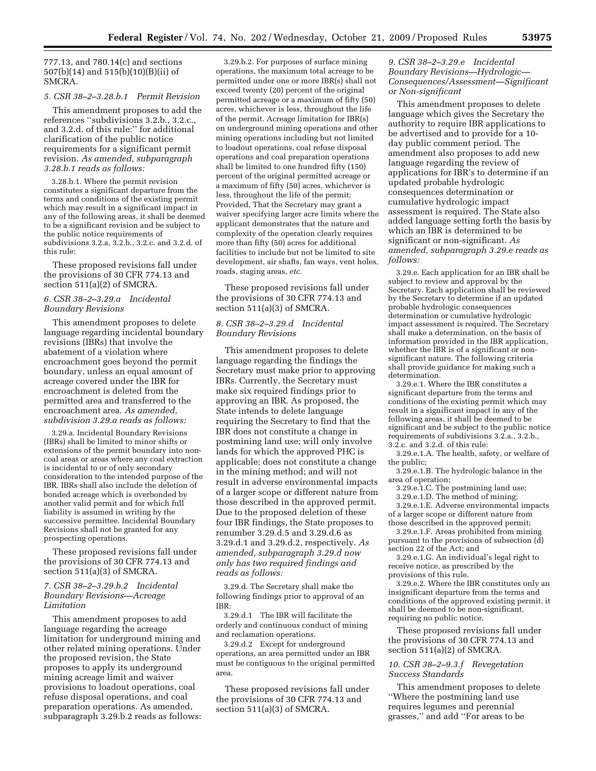777.13, and 780.14(c) and sections 507(b)(14) and 515(b)(10)(B)(ii) of SMCRA.

# *5. CSR 38–2–3.28.b.1 Permit Revision*

This amendment proposes to add the references ''subdivisions 3.2.b., 3.2.c., and 3.2.d. of this rule:'' for additional clarification of the public notice requirements for a significant permit revision. *As amended, subparagraph 3.28.b.1 reads as follows:* 

3.28.b.1. Where the permit revision constitutes a significant departure from the terms and conditions of the existing permit which may result in a significant impact in any of the following areas, it shall be deemed to be a significant revision and be subject to the public notice requirements of subdivisions 3.2.a, 3.2.b., 3.2.c. and 3.2.d. of this rule:

These proposed revisions fall under the provisions of 30 CFR 774.13 and section 511(a)(2) of SMCRA.

### *6. CSR 38–2–3.29.a Incidental Boundary Revisions*

This amendment proposes to delete language regarding incidental boundary revisions (IBRs) that involve the abatement of a violation where encroachment goes beyond the permit boundary, unless an equal amount of acreage covered under the IBR for encroachment is deleted from the permitted area and transferred to the encroachment area. *As amended, subdivision 3.29.a reads as follows:* 

3.29.a. Incidental Boundary Revisions (IBRs) shall be limited to minor shifts or extensions of the permit boundary into noncoal areas or areas where any coal extraction is incidental to or of only secondary consideration to the intended purpose of the IBR. IBRs shall also include the deletion of bonded acreage which is overbonded by another valid permit and for which full liability is assumed in writing by the successive permittee. Incidental Boundary Revisions shall not be granted for any prospecting operations.

These proposed revisions fall under the provisions of 30 CFR 774.13 and section 511(a)(3) of SMCRA.

# *7. CSR 38–2–3.29.b.2 Incidental Boundary Revisions—Acreage Limitation*

This amendment proposes to add language regarding the acreage limitation for underground mining and other related mining operations. Under the proposed revision, the State proposes to apply its underground mining acreage limit and waiver provisions to loadout operations, coal refuse disposal operations, and coal preparation operations. As amended, subparagraph 3.29.b.2 reads as follows:

3.29.b.2. For purposes of surface mining operations, the maximum total acreage to be permitted under one or more IBR(s) shall not exceed twenty (20) percent of the original permitted acreage or a maximum of fifty (50) acres, whichever is less, throughout the life of the permit. Acreage limitation for IBR(s) on underground mining operations and other mining operations including but not limited to loadout operations, coal refuse disposal operations and coal preparation operations shall be limited to one hundred fifty (150) percent of the original permitted acreage or a maximum of fifty (50) acres, whichever is less, throughout the life of the permit; Provided, That the Secretary may grant a waiver specifying larger acre limits where the applicant demonstrates that the nature and complexity of the operation clearly requires more than fifty (50) acres for additional facilities to include but not be limited to site development, air shafts, fan ways, vent holes, roads, staging areas, *etc.* 

These proposed revisions fall under the provisions of 30 CFR 774.13 and section 511(a)(3) of SMCRA.

# *8. CSR 38–2–3.29.d Incidental Boundary Revisions*

This amendment proposes to delete language regarding the findings the Secretary must make prior to approving IBRs. Currently, the Secretary must make six required findings prior to approving an IBR. As proposed, the State intends to delete language requiring the Secretary to find that the IBR does not constitute a change in postmining land use; will only involve lands for which the approved PHC is applicable; does not constitute a change in the mining method; and will not result in adverse environmental impacts of a larger scope or different nature from those described in the approved permit. Due to the proposed deletion of these four IBR findings, the State proposes to renumber 3.29.d.5 and 3.29.d.6 as 3.29.d.1 and 3.29.d.2, respectively. *As amended, subparagraph 3.29.d now only has two required findings and reads as follows:* 

3.29.d. The Secretary shall make the following findings prior to approval of an IBR:

3.29.d.1 The IBR will facilitate the orderly and continuous conduct of mining and reclamation operations.

3.29.d.2 Except for underground operations, an area permitted under an IBR must be contiguous to the original permitted area.

These proposed revisions fall under the provisions of 30 CFR 774.13 and section 511(a)(3) of SMCRA.

# *9. CSR 38–2–3.29.e Incidental Boundary Revisions—Hydrologic— Consequences/Assessment—Significant or Non-significant*

This amendment proposes to delete language which gives the Secretary the authority to require IBR applications to be advertised and to provide for a 10 day public comment period. The amendment also proposes to add new language regarding the review of applications for IBR's to determine if an updated probable hydrologic consequences determination or cumulative hydrologic impact assessment is required. The State also added language setting forth the basis by which an IBR is determined to be significant or non-significant. *As amended, subparagraph 3.29.e reads as follows:* 

3.29.e. Each application for an IBR shall be subject to review and approval by the Secretary. Each application shall be reviewed by the Secretary to determine if an updated probable hydrologic consequences determination or cumulative hydrologic impact assessment is required. The Secretary shall make a determination, on the basis of information provided in the IBR application, whether the IBR is of a significant or nonsignificant nature. The following criteria shall provide guidance for making such a determination.

3.29.e.1. Where the IBR constitutes a significant departure from the terms and conditions of the existing permit which may result in a significant impact in any of the following areas, it shall be deemed to be significant and be subject to the public notice requirements of subdivisions 3.2.a., 3.2.b., 3.2.c. and 3.2.d. of this rule:

3.29.e.1.A. The health, safety, or welfare of the public;

3.29.e.1.B. The hydrologic balance in the area of operation;

3.29.e.1.C. The postmining land use;

3.29.e.1.D. The method of mining; 3.29.e.1.E. Adverse environmental impacts

of a larger scope or different nature from those described in the approved permit;

3.29.e.1.F. Areas prohibited from mining pursuant to the provisions of subsection (d) section 22 of the Act; and

3.29.e.1.G. An individual's legal right to receive notice, as prescribed by the provisions of this rule.

3.29.e.2. Where the IBR constitutes only an insignificant departure from the terms and conditions of the approved existing permit, it shall be deemed to be non-significant, requiring no public notice.

These proposed revisions fall under the provisions of 30 CFR 774.13 and section 511(a)(2) of SMCRA.

# *10. CSR 38–2–9.3.f Revegetation Success Standards*

This amendment proposes to delete ''Where the postmining land use requires legumes and perennial grasses,'' and add ''For areas to be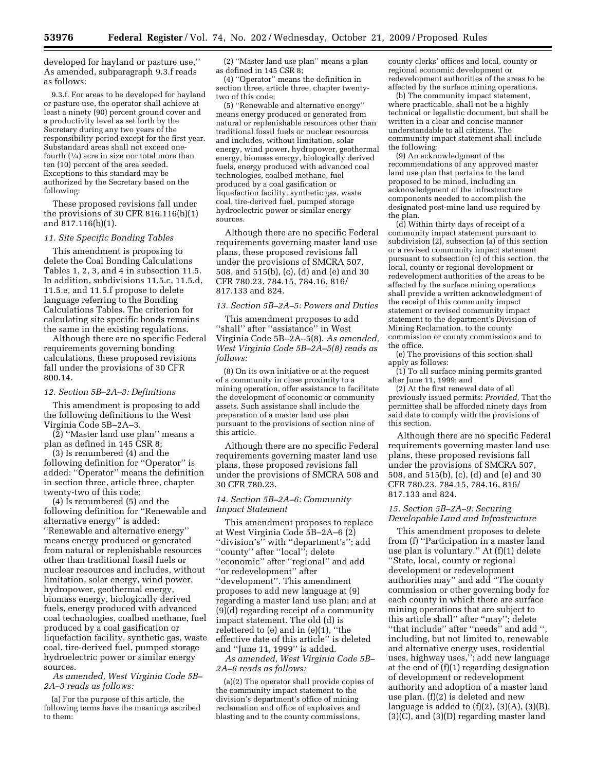developed for hayland or pasture use,'' As amended, subparagraph 9.3.f reads as follows:

9.3.f. For areas to be developed for hayland or pasture use, the operator shall achieve at least a ninety (90) percent ground cover and a productivity level as set forth by the Secretary during any two years of the responsibility period except for the first year. Substandard areas shall not exceed onefourth  $(1/4)$  acre in size nor total more than ten (10) percent of the area seeded. Exceptions to this standard may be authorized by the Secretary based on the following:

These proposed revisions fall under the provisions of 30 CFR 816.116(b)(1) and 817.116(b)(1).

#### *11. Site Specific Bonding Tables*

This amendment is proposing to delete the Coal Bonding Calculations Tables 1, 2, 3, and 4 in subsection 11.5. In addition, subdivisions 11.5.c, 11.5.d, 11.5.e, and 11.5.f propose to delete language referring to the Bonding Calculations Tables. The criterion for calculating site specific bonds remains the same in the existing regulations.

Although there are no specific Federal requirements governing bonding calculations, these proposed revisions fall under the provisions of 30 CFR 800.14.

#### *12. Section 5B–2A–3: Definitions*

This amendment is proposing to add the following definitions to the West Virginia Code 5B–2A–3.

(2) ''Master land use plan'' means a plan as defined in 145 CSR 8;

(3) Is renumbered (4) and the following definition for ''Operator'' is added: ''Operator'' means the definition in section three, article three, chapter twenty-two of this code;

(4) Is renumbered (5) and the following definition for ''Renewable and alternative energy'' is added: ''Renewable and alternative energy'' means energy produced or generated from natural or replenishable resources other than traditional fossil fuels or nuclear resources and includes, without limitation, solar energy, wind power, hydropower, geothermal energy, biomass energy, biologically derived fuels, energy produced with advanced coal technologies, coalbed methane, fuel produced by a coal gasification or liquefaction facility, synthetic gas, waste coal, tire-derived fuel, pumped storage hydroelectric power or similar energy sources.

*As amended, West Virginia Code 5B– 2A–3 reads as follows:* 

(a) For the purpose of this article, the following terms have the meanings ascribed to them:

(2) ''Master land use plan'' means a plan as defined in 145 CSR  $\tilde{8}$ ;

(4) ''Operator'' means the definition in section three, article three, chapter twentytwo of this code;

(5) ''Renewable and alternative energy'' means energy produced or generated from natural or replenishable resources other than traditional fossil fuels or nuclear resources and includes, without limitation, solar energy, wind power, hydropower, geothermal energy, biomass energy, biologically derived fuels, energy produced with advanced coal technologies, coalbed methane, fuel produced by a coal gasification or liquefaction facility, synthetic gas, waste coal, tire-derived fuel, pumped storage hydroelectric power or similar energy sources.

Although there are no specific Federal requirements governing master land use plans, these proposed revisions fall under the provisions of SMCRA 507, 508, and 515(b), (c), (d) and (e) and 30 CFR 780.23, 784.15, 784.16, 816/ 817.133 and 824.

#### *13. Section 5B–2A–5: Powers and Duties*

This amendment proposes to add ''shall'' after ''assistance'' in West Virginia Code 5B–2A–5(8). *As amended, West Virginia Code 5B–2A–5(8) reads as follows:* 

(8) On its own initiative or at the request of a community in close proximity to a mining operation, offer assistance to facilitate the development of economic or community assets. Such assistance shall include the preparation of a master land use plan pursuant to the provisions of section nine of this article.

Although there are no specific Federal requirements governing master land use plans, these proposed revisions fall under the provisions of SMCRA 508 and 30 CFR 780.23.

### *14. Section 5B–2A–6: Community Impact Statement*

This amendment proposes to replace at West Virginia Code 5B–2A–6 (2) "division's" with "department's"; add ''county'' after ''local''; delete ''economic'' after ''regional'' and add ''or redevelopment'' after ''development''. This amendment proposes to add new language at (9) regarding a master land use plan; and at (9)(d) regarding receipt of a community impact statement. The old (d) is relettered to (e) and in (e)(1), ''the effective date of this article'' is deleted and ''June 11, 1999'' is added.

*As amended, West Virginia Code 5B– 2A–6 reads as follows:* 

(a)(2) The operator shall provide copies of the community impact statement to the division's department's office of mining reclamation and office of explosives and blasting and to the county commissions,

county clerks' offices and local, county or regional economic development or redevelopment authorities of the areas to be affected by the surface mining operations.

(b) The community impact statement, where practicable, shall not be a highly technical or legalistic document, but shall be written in a clear and concise manner understandable to all citizens. The community impact statement shall include the following:

(9) An acknowledgment of the recommendations of any approved master land use plan that pertains to the land proposed to be mined, including an acknowledgment of the infrastructure components needed to accomplish the designated post-mine land use required by the plan.

(d) Within thirty days of receipt of a community impact statement pursuant to subdivision (2), subsection (a) of this section or a revised community impact statement pursuant to subsection (c) of this section, the local, county or regional development or redevelopment authorities of the areas to be affected by the surface mining operations shall provide a written acknowledgment of the receipt of this community impact statement or revised community impact statement to the department's Division of Mining Reclamation, to the county commission or county commissions and to the office.

(e) The provisions of this section shall apply as follows:

(1) To all surface mining permits granted after June 11, 1999; and

(2) At the first renewal date of all previously issued permits: *Provided,* That the permittee shall be afforded ninety days from said date to comply with the provisions of this section.

Although there are no specific Federal requirements governing master land use plans, these proposed revisions fall under the provisions of SMCRA 507, 508, and 515(b), (c), (d) and (e) and 30 CFR 780.23, 784.15, 784.16, 816/ 817.133 and 824.

# *15. Section 5B–2A–9: Securing Developable Land and Infrastructure*

This amendment proposes to delete from (f) ''Participation in a master land use plan is voluntary.'' At (f)(1) delete ''State, local, county or regional development or redevelopment authorities may'' and add ''The county commission or other governing body for each county in which there are surface mining operations that are subject to this article shall'' after ''may''; delete ''that include'' after ''needs'' and add '', including, but not limited to, renewable and alternative energy uses, residential uses, highway uses,''; add new language at the end of (f)(1) regarding designation of development or redevelopment authority and adoption of a master land use plan. (f)(2) is deleted and new language is added to  $(f)(2)$ ,  $(3)(A)$ ,  $(3)(B)$ , (3)(C), and (3)(D) regarding master land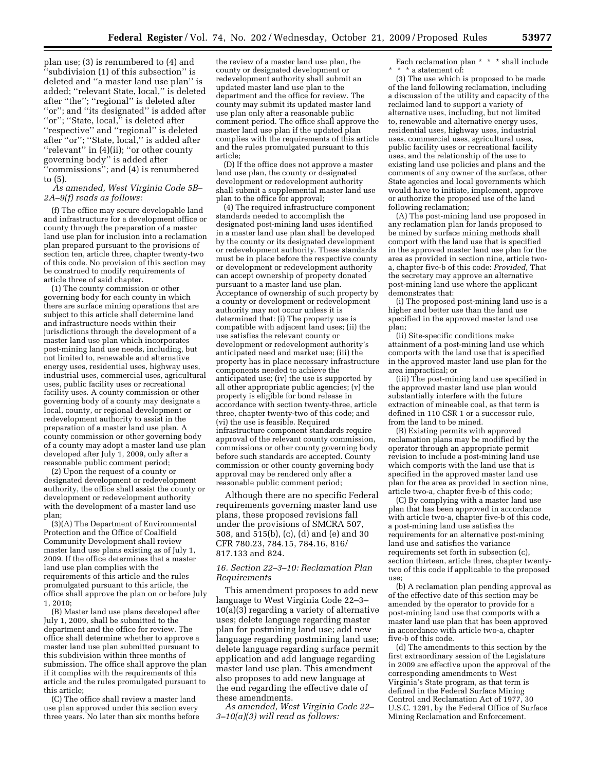plan use; (3) is renumbered to (4) and ''subdivision (1) of this subsection'' is deleted and ''a master land use plan'' is added; ''relevant State, local,'' is deleted after ''the''; ''regional'' is deleted after "or"; and "its designated" is added after "or"; "State, local," is deleted after ''respective'' and ''regional'' is deleted after ''or''; ''State, local,'' is added after ''relevant'' in (4)(ii); ''or other county governing body'' is added after ''commissions''; and (4) is renumbered

to (5).

*As amended, West Virginia Code 5B– 2A–9(f) reads as follows:* 

(f) The office may secure developable land and infrastructure for a development office or county through the preparation of a master land use plan for inclusion into a reclamation plan prepared pursuant to the provisions of section ten, article three, chapter twenty-two of this code. No provision of this section may be construed to modify requirements of article three of said chapter.

(1) The county commission or other governing body for each county in which there are surface mining operations that are subject to this article shall determine land and infrastructure needs within their jurisdictions through the development of a master land use plan which incorporates post-mining land use needs, including, but not limited to, renewable and alternative energy uses, residential uses, highway uses, industrial uses, commercial uses, agricultural uses, public facility uses or recreational facility uses. A county commission or other governing body of a county may designate a local, county, or regional development or redevelopment authority to assist in the preparation of a master land use plan. A county commission or other governing body of a county may adopt a master land use plan developed after July 1, 2009, only after a reasonable public comment period;

(2) Upon the request of a county or designated development or redevelopment authority, the office shall assist the county or development or redevelopment authority with the development of a master land use plan;

(3)(A) The Department of Environmental Protection and the Office of Coalfield Community Development shall review master land use plans existing as of July 1, 2009. If the office determines that a master land use plan complies with the requirements of this article and the rules promulgated pursuant to this article, the office shall approve the plan on or before July 1, 2010;

(B) Master land use plans developed after July 1, 2009, shall be submitted to the department and the office for review. The office shall determine whether to approve a master land use plan submitted pursuant to this subdivision within three months of submission. The office shall approve the plan if it complies with the requirements of this article and the rules promulgated pursuant to this article;

(C) The office shall review a master land use plan approved under this section every three years. No later than six months before

the review of a master land use plan, the county or designated development or redevelopment authority shall submit an updated master land use plan to the department and the office for review. The county may submit its updated master land use plan only after a reasonable public comment period. The office shall approve the master land use plan if the updated plan complies with the requirements of this article and the rules promulgated pursuant to this article;

(D) If the office does not approve a master land use plan, the county or designated development or redevelopment authority shall submit a supplemental master land use plan to the office for approval;

(4) The required infrastructure component standards needed to accomplish the designated post-mining land uses identified in a master land use plan shall be developed by the county or its designated development or redevelopment authority. These standards must be in place before the respective county or development or redevelopment authority can accept ownership of property donated pursuant to a master land use plan. Acceptance of ownership of such property by a county or development or redevelopment authority may not occur unless it is determined that: (i) The property use is compatible with adjacent land uses; (ii) the use satisfies the relevant county or development or redevelopment authority's anticipated need and market use; (iii) the property has in place necessary infrastructure components needed to achieve the anticipated use; (iv) the use is supported by all other appropriate public agencies; (v) the property is eligible for bond release in accordance with section twenty-three, article three, chapter twenty-two of this code; and (vi) the use is feasible. Required infrastructure component standards require approval of the relevant county commission, commissions or other county governing body before such standards are accepted. County commission or other county governing body approval may be rendered only after a reasonable public comment period;

Although there are no specific Federal requirements governing master land use plans, these proposed revisions fall under the provisions of SMCRA 507, 508, and 515(b), (c), (d) and (e) and 30 CFR 780.23, 784.15, 784.16, 816/ 817.133 and 824.

# *16. Section 22–3–10: Reclamation Plan Requirements*

This amendment proposes to add new language to West Virginia Code 22–3– 10(a)(3) regarding a variety of alternative uses; delete language regarding master plan for postmining land use; add new language regarding postmining land use; delete language regarding surface permit application and add language regarding master land use plan. This amendment also proposes to add new language at the end regarding the effective date of these amendments.

*As amended, West Virginia Code 22– 3–10(a)(3) will read as follows:* 

Each reclamation plan \* \* \* shall include  $^{\star}$   $^{\star}$   $^{\star}$  a statement of:

(3) The use which is proposed to be made of the land following reclamation, including a discussion of the utility and capacity of the reclaimed land to support a variety of alternative uses, including, but not limited to, renewable and alternative energy uses, residential uses, highway uses, industrial uses, commercial uses, agricultural uses, public facility uses or recreational facility uses, and the relationship of the use to existing land use policies and plans and the comments of any owner of the surface, other State agencies and local governments which would have to initiate, implement, approve or authorize the proposed use of the land following reclamation;

(A) The post-mining land use proposed in any reclamation plan for lands proposed to be mined by surface mining methods shall comport with the land use that is specified in the approved master land use plan for the area as provided in section nine, article twoa, chapter five-b of this code: *Provided,* That the secretary may approve an alternative post-mining land use where the applicant demonstrates that:

(i) The proposed post-mining land use is a higher and better use than the land use specified in the approved master land use plan;

(ii) Site-specific conditions make attainment of a post-mining land use which comports with the land use that is specified in the approved master land use plan for the area impractical; or

(iii) The post-mining land use specified in the approved master land use plan would substantially interfere with the future extraction of mineable coal, as that term is defined in 110 CSR 1 or a successor rule, from the land to be mined.

(B) Existing permits with approved reclamation plans may be modified by the operator through an appropriate permit revision to include a post-mining land use which comports with the land use that is specified in the approved master land use plan for the area as provided in section nine, article two-a, chapter five-b of this code;

(C) By complying with a master land use plan that has been approved in accordance with article two-a, chapter five-b of this code, a post-mining land use satisfies the requirements for an alternative post-mining land use and satisfies the variance requirements set forth in subsection (c), section thirteen, article three, chapter twentytwo of this code if applicable to the proposed use;

(b) A reclamation plan pending approval as of the effective date of this section may be amended by the operator to provide for a post-mining land use that comports with a master land use plan that has been approved in accordance with article two-a, chapter five-b of this code.

(d) The amendments to this section by the first extraordinary session of the Legislature in 2009 are effective upon the approval of the corresponding amendments to West Virginia's State program, as that term is defined in the Federal Surface Mining Control and Reclamation Act of 1977, 30 U.S.C. 1291, by the Federal Office of Surface Mining Reclamation and Enforcement.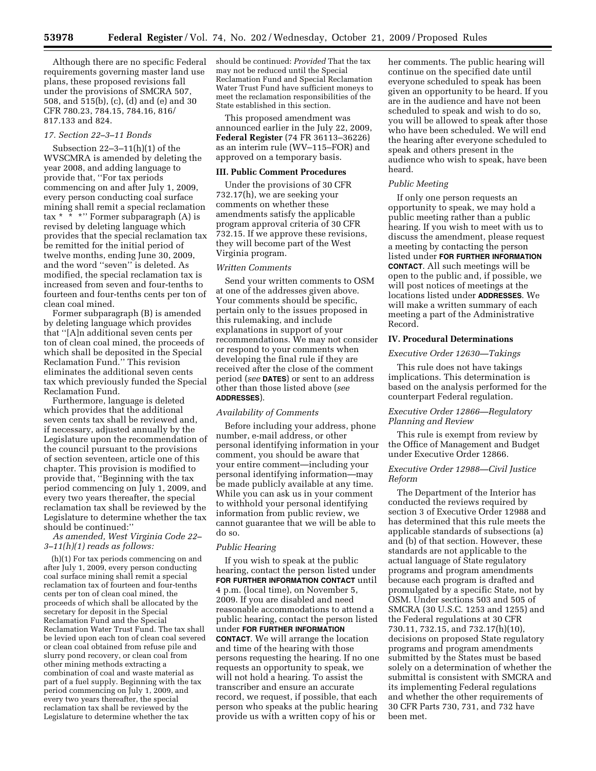Although there are no specific Federal requirements governing master land use plans, these proposed revisions fall under the provisions of SMCRA 507, 508, and 515(b), (c), (d) and (e) and 30 CFR 780.23, 784.15, 784.16, 816/ 817.133 and 824.

#### *17. Section 22–3–11 Bonds*

Subsection 22–3–11(h)(1) of the WVSCMRA is amended by deleting the year 2008, and adding language to provide that, ''For tax periods commencing on and after July 1, 2009, every person conducting coal surface mining shall remit a special reclamation tax \* \* \*'' Former subparagraph (A) is revised by deleting language which provides that the special reclamation tax be remitted for the initial period of twelve months, ending June 30, 2009, and the word ''seven'' is deleted. As modified, the special reclamation tax is increased from seven and four-tenths to fourteen and four-tenths cents per ton of clean coal mined.

Former subparagraph (B) is amended by deleting language which provides that ''[A]n additional seven cents per ton of clean coal mined, the proceeds of which shall be deposited in the Special Reclamation Fund.'' This revision eliminates the additional seven cents tax which previously funded the Special Reclamation Fund.

Furthermore, language is deleted which provides that the additional seven cents tax shall be reviewed and, if necessary, adjusted annually by the Legislature upon the recommendation of the council pursuant to the provisions of section seventeen, article one of this chapter. This provision is modified to provide that, ''Beginning with the tax period commencing on July 1, 2009, and every two years thereafter, the special reclamation tax shall be reviewed by the Legislature to determine whether the tax should be continued:''

*As amended, West Virginia Code 22– 3–11(h)(1) reads as follows:* 

(h)(1) For tax periods commencing on and after July 1, 2009, every person conducting coal surface mining shall remit a special reclamation tax of fourteen and four-tenths cents per ton of clean coal mined, the proceeds of which shall be allocated by the secretary for deposit in the Special Reclamation Fund and the Special Reclamation Water Trust Fund. The tax shall be levied upon each ton of clean coal severed or clean coal obtained from refuse pile and slurry pond recovery, or clean coal from other mining methods extracting a combination of coal and waste material as part of a fuel supply. Beginning with the tax period commencing on July 1, 2009, and every two years thereafter, the special reclamation tax shall be reviewed by the Legislature to determine whether the tax

should be continued: *Provided* That the tax may not be reduced until the Special Reclamation Fund and Special Reclamation Water Trust Fund have sufficient moneys to meet the reclamation responsibilities of the State established in this section.

This proposed amendment was announced earlier in the July 22, 2009, **Federal Register** (74 FR 36113–36226) as an interim rule (WV–115–FOR) and approved on a temporary basis.

## **III. Public Comment Procedures**

Under the provisions of 30 CFR 732.17(h), we are seeking your comments on whether these amendments satisfy the applicable program approval criteria of 30 CFR 732.15. If we approve these revisions, they will become part of the West Virginia program.

## *Written Comments*

Send your written comments to OSM at one of the addresses given above. Your comments should be specific, pertain only to the issues proposed in this rulemaking, and include explanations in support of your recommendations. We may not consider or respond to your comments when developing the final rule if they are received after the close of the comment period (*see* **DATES**) or sent to an address other than those listed above (*see*  **ADDRESSES**).

#### *Availability of Comments*

Before including your address, phone number, e-mail address, or other personal identifying information in your comment, you should be aware that your entire comment—including your personal identifying information—may be made publicly available at any time. While you can ask us in your comment to withhold your personal identifying information from public review, we cannot guarantee that we will be able to do so.

#### *Public Hearing*

If you wish to speak at the public hearing, contact the person listed under **FOR FURTHER INFORMATION CONTACT** until 4 p.m. (local time), on November 5, 2009. If you are disabled and need reasonable accommodations to attend a public hearing, contact the person listed under **FOR FURTHER INFORMATION CONTACT**. We will arrange the location and time of the hearing with those persons requesting the hearing. If no one requests an opportunity to speak, we will not hold a hearing. To assist the transcriber and ensure an accurate record, we request, if possible, that each person who speaks at the public hearing provide us with a written copy of his or

her comments. The public hearing will continue on the specified date until everyone scheduled to speak has been given an opportunity to be heard. If you are in the audience and have not been scheduled to speak and wish to do so, you will be allowed to speak after those who have been scheduled. We will end the hearing after everyone scheduled to speak and others present in the audience who wish to speak, have been heard.

#### *Public Meeting*

If only one person requests an opportunity to speak, we may hold a public meeting rather than a public hearing. If you wish to meet with us to discuss the amendment, please request a meeting by contacting the person listed under **FOR FURTHER INFORMATION CONTACT**. All such meetings will be open to the public and, if possible, we will post notices of meetings at the locations listed under **ADDRESSES**. We will make a written summary of each meeting a part of the Administrative Record.

### **IV. Procedural Determinations**

### *Executive Order 12630—Takings*

This rule does not have takings implications. This determination is based on the analysis performed for the counterpart Federal regulation.

# *Executive Order 12866—Regulatory Planning and Review*

This rule is exempt from review by the Office of Management and Budget under Executive Order 12866.

# *Executive Order 12988—Civil Justice Reform*

The Department of the Interior has conducted the reviews required by section 3 of Executive Order 12988 and has determined that this rule meets the applicable standards of subsections (a) and (b) of that section. However, these standards are not applicable to the actual language of State regulatory programs and program amendments because each program is drafted and promulgated by a specific State, not by OSM. Under sections 503 and 505 of SMCRA (30 U.S.C. 1253 and 1255) and the Federal regulations at 30 CFR 730.11, 732.15, and 732.17(h)(10), decisions on proposed State regulatory programs and program amendments submitted by the States must be based solely on a determination of whether the submittal is consistent with SMCRA and its implementing Federal regulations and whether the other requirements of 30 CFR Parts 730, 731, and 732 have been met.